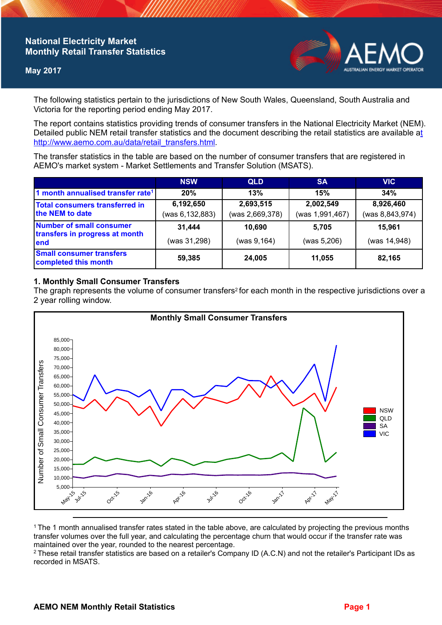# **National Electricity Market Monthly Retail Transfer Statistics**

## **May 2017**



The following statistics pertain to the jurisdictions of New South Wales, Queensland, South Australia and Victoria for the reporting period ending May 2017.

The report contains statistics providing trends of consumer transfers in the National Electricity Market (NEM). Detailed public NEM retail transfer statistics and the document describing the retail statistics are available a[t](http://www.aemo.com.au/data/retail_transfers.html)  http://www.aemo.com.au/data/retail\_transfers.html

The transfer statistics in the table are based on the number of consumer transfers that are registered in AEMO's market system - Market Settlements and Transfer Solution (MSATS).

|                                                                    | <b>NSW</b>      | <b>QLD</b>      | <b>SA</b>       | <b>VIC</b>      |
|--------------------------------------------------------------------|-----------------|-----------------|-----------------|-----------------|
| 1 month annualised transfer rate <sup>1</sup>                      | 20%             | 13%             | 15%             | 34%             |
| Total consumers transferred in<br>the NEM to date                  | 6,192,650       | 2,693,515       | 2,002,549       | 8,926,460       |
|                                                                    | (was 6,132,883) | (was 2,669,378) | (was 1,991,467) | (was 8,843,974) |
| Number of small consumer<br>transfers in progress at month<br>lend | 31,444          | 10,690          | 5.705           | 15.961          |
|                                                                    | (was 31,298)    | (was 9, 164)    | (was 5,206)     | (was 14,948)    |
| <b>Small consumer transfers</b><br>completed this month            | 59,385          | 24,005          | 11,055          | 82,165          |

## **1. Monthly Small Consumer Transfers**

The graph represents the volume of consumer transfers<sup>2</sup> for each month in the respective jurisdictions over a 2 year rolling window.



<sup>1</sup>The 1 month annualised transfer rates stated in the table above, are calculated by projecting the previous months transfer volumes over the full year, and calculating the percentage churn that would occur if the transfer rate was maintained over the year, rounded to the nearest percentage.

<sup>2</sup> These retail transfer statistics are based on a retailer's Company ID (A.C.N) and not the retailer's Participant IDs as recorded in MSATS.